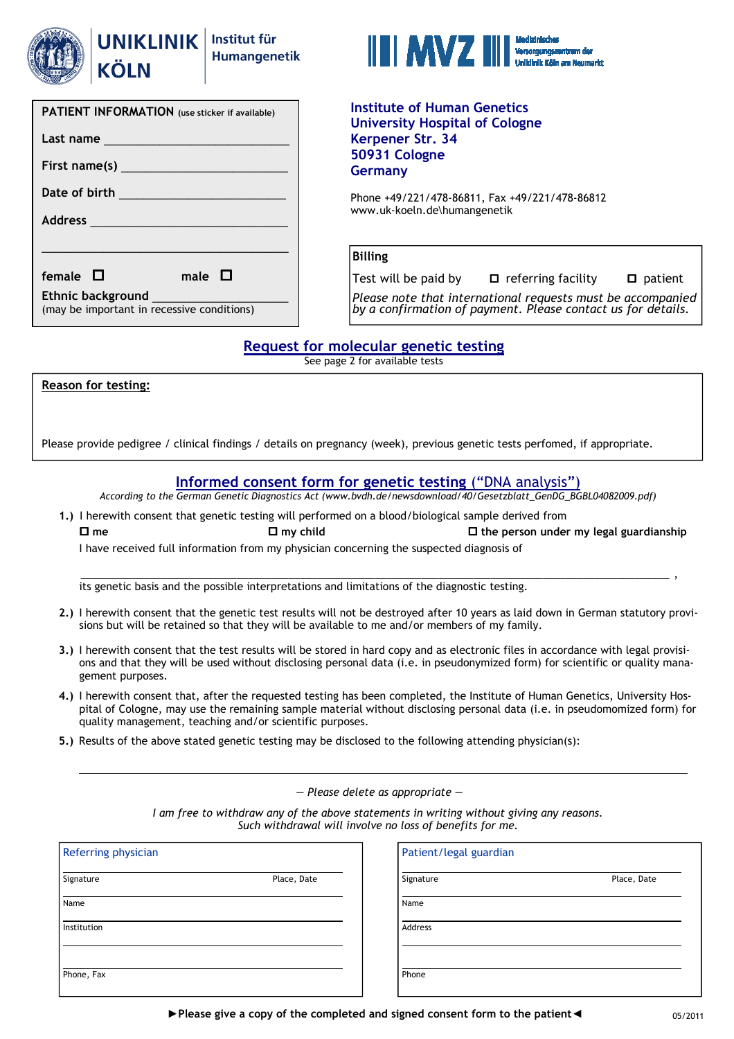

KÖLN

| <b>PATIENT INFORMATION</b> (use sticker if available)                                                                                                                                                                          |  |  |  |  |  |  |
|--------------------------------------------------------------------------------------------------------------------------------------------------------------------------------------------------------------------------------|--|--|--|--|--|--|
| Last name                                                                                                                                                                                                                      |  |  |  |  |  |  |
|                                                                                                                                                                                                                                |  |  |  |  |  |  |
| Date of birth and the state of the state of the state of the state of the state of the state of the state of the state of the state of the state of the state of the state of the state of the state of the state of the state |  |  |  |  |  |  |
|                                                                                                                                                                                                                                |  |  |  |  |  |  |
|                                                                                                                                                                                                                                |  |  |  |  |  |  |
| female $\Box$<br>male $\Box$                                                                                                                                                                                                   |  |  |  |  |  |  |
| Ethnic background<br>(may be important in recessive conditions)                                                                                                                                                                |  |  |  |  |  |  |
|                                                                                                                                                                                                                                |  |  |  |  |  |  |



Institute of Human Genetics University Hospital of Cologne Kerpener Str. 34 50931 Cologne Germany

Phone +49/221/478-86811, Fax +49/221/478-86812 www.uk-koeln.de\humangenetik

## Billing

Test will be paid by  $\Box$  referring facility  $\Box$  patient

Please note that international requests must be accompanied by a confirmation of payment. Please contact us for details.

## Request for molecular genetic testing

See page 2 for available tests

Reason for testing:

Please provide pedigree / clinical findings / details on pregnancy (week), previous genetic tests perfomed, if appropriate.

## Informed consent form for genetic testing ("DNA analysis")

According to the German Genetic Diagnostics Act (www.bvdh.de/newsdownload/40/Gesetzblatt\_GenDG\_BGBL04082009.pdf)

1.) I herewith consent that genetic testing will performed on a blood/biological sample derived from  $\Box$  me  $\Box$  my child  $\Box$  the person under my legal guardianship

I have received full information from my physician concerning the suspected diagnosis of

its genetic basis and the possible interpretations and limitations of the diagnostic testing.

2.) I herewith consent that the genetic test results will not be destroyed after 10 years as laid down in German statutory provisions but will be retained so that they will be available to me and/or members of my family.

\_\_\_\_\_\_\_\_\_\_\_\_\_\_\_\_\_\_\_\_\_\_\_\_\_\_\_\_\_\_\_\_\_\_\_\_\_\_\_\_\_\_\_\_\_\_\_\_\_\_\_\_\_\_\_\_\_\_\_\_\_\_\_\_\_\_\_\_\_\_\_\_\_\_\_\_\_\_\_\_\_\_\_\_\_\_\_\_\_\_\_\_\_\_\_\_\_\_\_\_\_\_ ,

- 3.) I herewith consent that the test results will be stored in hard copy and as electronic files in accordance with legal provisions and that they will be used without disclosing personal data (i.e. in pseudonymized form) for scientific or quality management purposes.
- 4.) I herewith consent that, after the requested testing has been completed, the Institute of Human Genetics, University Hospital of Cologne, may use the remaining sample material without disclosing personal data (i.e. in pseudomomized form) for quality management, teaching and/or scientific purposes.
- 5.) Results of the above stated genetic testing may be disclosed to the following attending physician(s):

— Please delete as appropriate —

I am free to withdraw any of the above statements in writing without giving any reasons. Such withdrawal will involve no loss of benefits for me.

| Place, Date | Signature |             |
|-------------|-----------|-------------|
|             |           | Place, Date |
|             | Name      |             |
|             | Address   |             |
|             |           |             |
|             | Phone     |             |
|             |           |             |